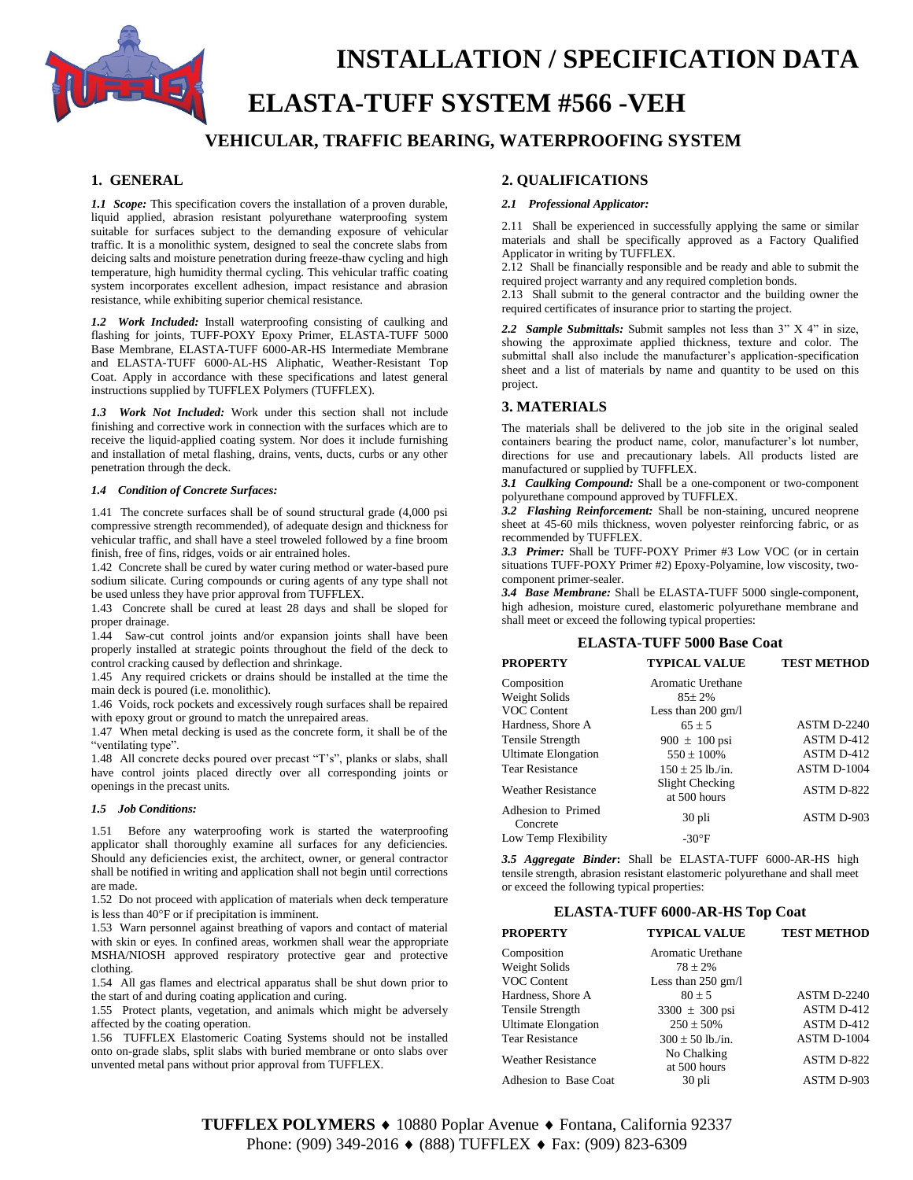

## **INSTALLATION / SPECIFICATION DATA**

# **ELASTA-TUFF SYSTEM #566 -VEH**

### **VEHICULAR, TRAFFIC BEARING, WATERPROOFING SYSTEM**

#### **1. GENERAL**

*1.1 Scope:* This specification covers the installation of a proven durable, liquid applied, abrasion resistant polyurethane waterproofing system suitable for surfaces subject to the demanding exposure of vehicular traffic. It is a monolithic system, designed to seal the concrete slabs from deicing salts and moisture penetration during freeze-thaw cycling and high temperature, high humidity thermal cycling. This vehicular traffic coating system incorporates excellent adhesion, impact resistance and abrasion resistance, while exhibiting superior chemical resistance.

*1.2 Work Included:* Install waterproofing consisting of caulking and flashing for joints, TUFF-POXY Epoxy Primer, ELASTA-TUFF 5000 Base Membrane, ELASTA-TUFF 6000-AR-HS Intermediate Membrane and ELASTA-TUFF 6000-AL-HS Aliphatic, Weather-Resistant Top Coat. Apply in accordance with these specifications and latest general instructions supplied by TUFFLEX Polymers (TUFFLEX).

*1.3 Work Not Included:* Work under this section shall not include finishing and corrective work in connection with the surfaces which are to receive the liquid-applied coating system. Nor does it include furnishing and installation of metal flashing, drains, vents, ducts, curbs or any other penetration through the deck.

#### *1.4 Condition of Concrete Surfaces:*

1.41 The concrete surfaces shall be of sound structural grade (4,000 psi compressive strength recommended), of adequate design and thickness for vehicular traffic, and shall have a steel troweled followed by a fine broom finish, free of fins, ridges, voids or air entrained holes.

1.42 Concrete shall be cured by water curing method or water-based pure sodium silicate. Curing compounds or curing agents of any type shall not be used unless they have prior approval from TUFFLEX.

1.43 Concrete shall be cured at least 28 days and shall be sloped for proper drainage.

1.44 Saw-cut control joints and/or expansion joints shall have been properly installed at strategic points throughout the field of the deck to control cracking caused by deflection and shrinkage.

1.45 Any required crickets or drains should be installed at the time the main deck is poured (i.e. monolithic).

1.46 Voids, rock pockets and excessively rough surfaces shall be repaired with epoxy grout or ground to match the unrepaired areas.

1.47 When metal decking is used as the concrete form, it shall be of the "ventilating type".

1.48 All concrete decks poured over precast "T's", planks or slabs, shall have control joints placed directly over all corresponding joints or openings in the precast units.

#### *1.5 Job Conditions:*

1.51 Before any waterproofing work is started the waterproofing applicator shall thoroughly examine all surfaces for any deficiencies. Should any deficiencies exist, the architect, owner, or general contractor shall be notified in writing and application shall not begin until corrections are made.

1.52 Do not proceed with application of materials when deck temperature is less than  $40^{\circ}$ F or if precipitation is imminent.

1.53 Warn personnel against breathing of vapors and contact of material with skin or eyes. In confined areas, workmen shall wear the appropriate MSHA/NIOSH approved respiratory protective gear and protective clothing.

1.54 All gas flames and electrical apparatus shall be shut down prior to the start of and during coating application and curing.

1.55 Protect plants, vegetation, and animals which might be adversely affected by the coating operation.

1.56 TUFFLEX Elastomeric Coating Systems should not be installed onto on-grade slabs, split slabs with buried membrane or onto slabs over unvented metal pans without prior approval from TUFFLEX.

#### **2. QUALIFICATIONS**

#### *2.1 Professional Applicator:*

2.11 Shall be experienced in successfully applying the same or similar materials and shall be specifically approved as a Factory Qualified Applicator in writing by TUFFLEX.

2.12 Shall be financially responsible and be ready and able to submit the required project warranty and any required completion bonds.

2.13 Shall submit to the general contractor and the building owner the required certificates of insurance prior to starting the project.

*2.2 Sample Submittals:* Submit samples not less than 3" X 4" in size, showing the approximate applied thickness, texture and color. The submittal shall also include the manufacturer's application-specification sheet and a list of materials by name and quantity to be used on this project.

#### **3. MATERIALS**

The materials shall be delivered to the job site in the original sealed containers bearing the product name, color, manufacturer's lot number, directions for use and precautionary labels. All products listed are manufactured or supplied by TUFFLEX.

*3.1 Caulking Compound:* Shall be a one-component or two-component polyurethane compound approved by TUFFLEX.

*3.2 Flashing Reinforcement:* Shall be non-staining, uncured neoprene sheet at 45-60 mils thickness, woven polyester reinforcing fabric, or as recommended by TUFFLEX.

*3.3 Primer:* Shall be TUFF-POXY Primer #3 Low VOC (or in certain situations TUFF-POXY Primer #2) Epoxy-Polyamine, low viscosity, twocomponent primer-sealer.

*3.4 Base Membrane:* Shall be ELASTA-TUFF 5000 single-component, high adhesion, moisture cured, elastomeric polyurethane membrane and shall meet or exceed the following typical properties:

#### **ELASTA-TUFF 5000 Base Coat**

| <b>PROPERTY</b>                | <b>TYPICAL VALUE</b>            | <b>TEST METHOD</b> |
|--------------------------------|---------------------------------|--------------------|
| Composition                    | Aromatic Urethane               |                    |
| Weight Solids                  | $85 \pm 2\%$                    |                    |
| VOC Content                    | Less than $200 \text{ gm/l}$    |                    |
| Hardness, Shore A              | $65 \pm 5$                      | <b>ASTM D-2240</b> |
| Tensile Strength               | 900 $\pm$ 100 psi               | ASTM D-412         |
| <b>Ultimate Elongation</b>     | $550 \pm 100\%$                 | ASTM D-412         |
| <b>Tear Resistance</b>         | $150 + 25$ lb./in.              | ASTM D-1004        |
| <b>Weather Resistance</b>      | Slight Checking<br>at 500 hours | ASTM D-822         |
| Adhesion to Primed<br>Concrete | 30 pli                          | ASTM D-903         |
| Low Temp Flexibility           | $-30^{\circ}$ F                 |                    |

*3.5 Aggregate Binder***:** Shall be ELASTA-TUFF 6000-AR-HS high tensile strength, abrasion resistant elastomeric polyurethane and shall meet or exceed the following typical properties:

#### **ELASTA-TUFF 6000-AR-HS Top Coat**

| <b>PROPERTY</b>            | <b>TYPICAL VALUE</b> | <b>TEST METHOD</b> |
|----------------------------|----------------------|--------------------|
| Composition                | Aromatic Urethane    |                    |
| Weight Solids              | $78 \pm 2\%$         |                    |
| VOC Content                | Less than $250$ gm/l |                    |
| Hardness, Shore A          | $80 + 5$             | <b>ASTM D-2240</b> |
| Tensile Strength           | $3300 \pm 300$ psi   | ASTM D-412         |
| <b>Ultimate Elongation</b> | $250 \pm 50\%$       | ASTM D-412         |
| <b>Tear Resistance</b>     | $300 \pm 50$ lb./in. | ASTM D-1004        |
| <b>Weather Resistance</b>  | No Chalking          | ASTM D-822         |
|                            | at 500 hours         |                    |
| Adhesion to Base Coat      | 30 pli               | ASTM D-903         |

**TUFFLEX POLYMERS ♦** 10880 Poplar Avenue ♦ Fontana, California 92337 Phone: (909) 349-2016 ♦ (888) TUFFLEX ♦ Fax: (909) 823-6309